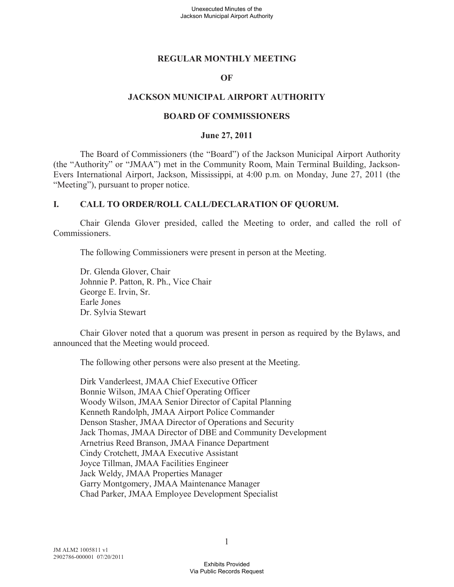### **REGULAR MONTHLY MEETING**

#### **OF**

#### **JACKSON MUNICIPAL AIRPORT AUTHORITY**

#### **BOARD OF COMMISSIONERS**

#### **June 27, 2011**

The Board of Commissioners (the "Board") of the Jackson Municipal Airport Authority (the "Authority" or "JMAA") met in the Community Room, Main Terminal Building, Jackson-Evers International Airport, Jackson, Mississippi, at 4:00 p.m. on Monday, June 27, 2011 (the "Meeting"), pursuant to proper notice.

#### **I. CALL TO ORDER/ROLL CALL/DECLARATION OF QUORUM.**

Chair Glenda Glover presided, called the Meeting to order, and called the roll of Commissioners.

The following Commissioners were present in person at the Meeting.

Dr. Glenda Glover, Chair Johnnie P. Patton, R. Ph., Vice Chair George E. Irvin, Sr. Earle Jones Dr. Sylvia Stewart

Chair Glover noted that a quorum was present in person as required by the Bylaws, and announced that the Meeting would proceed.

The following other persons were also present at the Meeting.

Dirk Vanderleest, JMAA Chief Executive Officer Bonnie Wilson, JMAA Chief Operating Officer Woody Wilson, JMAA Senior Director of Capital Planning Kenneth Randolph, JMAA Airport Police Commander Denson Stasher, JMAA Director of Operations and Security Jack Thomas, JMAA Director of DBE and Community Development Arnetrius Reed Branson, JMAA Finance Department Cindy Crotchett, JMAA Executive Assistant Joyce Tillman, JMAA Facilities Engineer Jack Weldy, JMAA Properties Manager Garry Montgomery, JMAA Maintenance Manager Chad Parker, JMAA Employee Development Specialist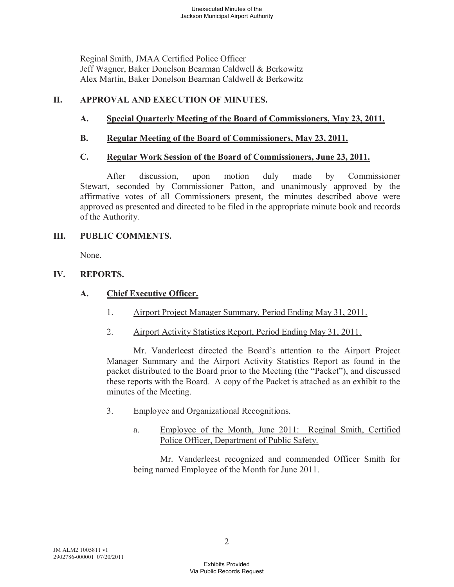Reginal Smith, JMAA Certified Police Officer Jeff Wagner, Baker Donelson Bearman Caldwell & Berkowitz Alex Martin, Baker Donelson Bearman Caldwell & Berkowitz

# **II. APPROVAL AND EXECUTION OF MINUTES.**

# **A. Special Quarterly Meeting of the Board of Commissioners, May 23, 2011.**

# **B. Regular Meeting of the Board of Commissioners, May 23, 2011.**

# **C. Regular Work Session of the Board of Commissioners, June 23, 2011.**

After discussion, upon motion duly made by Commissioner Stewart, seconded by Commissioner Patton, and unanimously approved by the affirmative votes of all Commissioners present, the minutes described above were approved as presented and directed to be filed in the appropriate minute book and records of the Authority.

## **III. PUBLIC COMMENTS.**

None.

# **IV. REPORTS.**

# **A. Chief Executive Officer.**

- 1. Airport Project Manager Summary, Period Ending May 31, 2011.
- 2. Airport Activity Statistics Report, Period Ending May 31, 2011.

Mr. Vanderleest directed the Board's attention to the Airport Project Manager Summary and the Airport Activity Statistics Report as found in the packet distributed to the Board prior to the Meeting (the "Packet"), and discussed these reports with the Board. A copy of the Packet is attached as an exhibit to the minutes of the Meeting.

- 3. Employee and Organizational Recognitions.
	- a. Employee of the Month, June 2011: Reginal Smith, Certified Police Officer, Department of Public Safety.

Mr. Vanderleest recognized and commended Officer Smith for being named Employee of the Month for June 2011.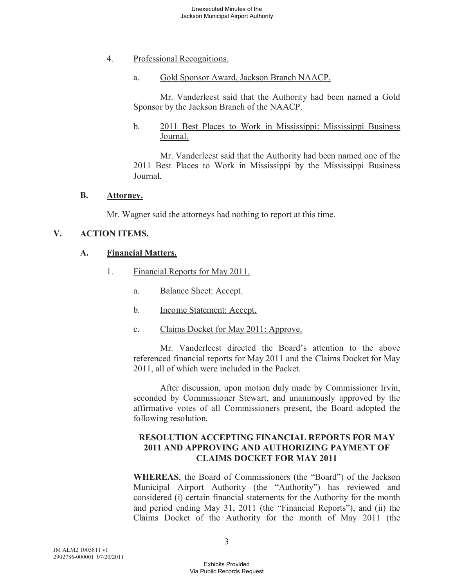- 4. Professional Recognitions.
	- a. Gold Sponsor Award, Jackson Branch NAACP.

Mr. Vanderleest said that the Authority had been named a Gold Sponsor by the Jackson Branch of the NAACP.

b. 2011 Best Places to Work in Mississippi: Mississippi Business Journal.

Mr. Vanderleest said that the Authority had been named one of the 2011 Best Places to Work in Mississippi by the Mississippi Business Journal.

### **B. Attorney.**

Mr. Wagner said the attorneys had nothing to report at this time.

# **V. ACTION ITEMS.**

## **A. Financial Matters.**

- 1. Financial Reports for May 2011.
	- a. Balance Sheet: Accept.
	- b. Income Statement: Accept.
	- c. Claims Docket for May 2011: Approve.

Mr. Vanderleest directed the Board's attention to the above referenced financial reports for May 2011 and the Claims Docket for May 2011, all of which were included in the Packet.

After discussion, upon motion duly made by Commissioner Irvin, seconded by Commissioner Stewart, and unanimously approved by the affirmative votes of all Commissioners present, the Board adopted the following resolution.

## **RESOLUTION ACCEPTING FINANCIAL REPORTS FOR MAY 2011 AND APPROVING AND AUTHORIZING PAYMENT OF CLAIMS DOCKET FOR MAY 2011**

**WHEREAS**, the Board of Commissioners (the "Board") of the Jackson Municipal Airport Authority (the "Authority") has reviewed and considered (i) certain financial statements for the Authority for the month and period ending May 31, 2011 (the "Financial Reports"), and (ii) the Claims Docket of the Authority for the month of May 2011 (the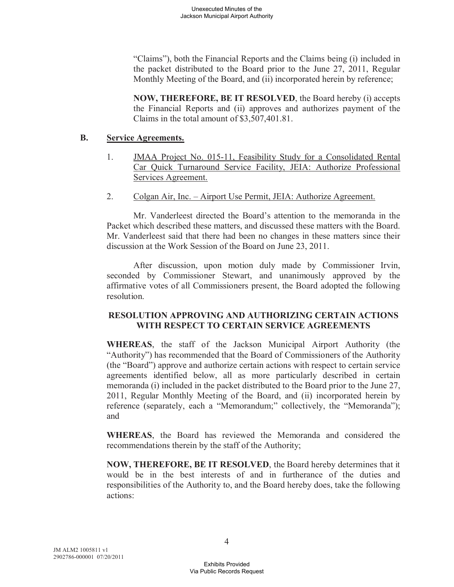"Claims"), both the Financial Reports and the Claims being (i) included in the packet distributed to the Board prior to the June 27, 2011, Regular Monthly Meeting of the Board, and (ii) incorporated herein by reference;

**NOW, THEREFORE, BE IT RESOLVED**, the Board hereby (i) accepts the Financial Reports and (ii) approves and authorizes payment of the Claims in the total amount of \$3,507,401.81.

## **B. Service Agreements.**

- 1. JMAA Project No. 015-11, Feasibility Study for a Consolidated Rental Car Quick Turnaround Service Facility, JEIA: Authorize Professional Services Agreement.
- 2. Colgan Air, Inc. Airport Use Permit, JEIA: Authorize Agreement.

Mr. Vanderleest directed the Board's attention to the memoranda in the Packet which described these matters, and discussed these matters with the Board. Mr. Vanderleest said that there had been no changes in these matters since their discussion at the Work Session of the Board on June 23, 2011.

After discussion, upon motion duly made by Commissioner Irvin, seconded by Commissioner Stewart, and unanimously approved by the affirmative votes of all Commissioners present, the Board adopted the following resolution.

# **RESOLUTION APPROVING AND AUTHORIZING CERTAIN ACTIONS WITH RESPECT TO CERTAIN SERVICE AGREEMENTS**

**WHEREAS**, the staff of the Jackson Municipal Airport Authority (the "Authority") has recommended that the Board of Commissioners of the Authority (the "Board") approve and authorize certain actions with respect to certain service agreements identified below, all as more particularly described in certain memoranda (i) included in the packet distributed to the Board prior to the June 27, 2011, Regular Monthly Meeting of the Board, and (ii) incorporated herein by reference (separately, each a "Memorandum;" collectively, the "Memoranda"); and

**WHEREAS**, the Board has reviewed the Memoranda and considered the recommendations therein by the staff of the Authority;

**NOW, THEREFORE, BE IT RESOLVED**, the Board hereby determines that it would be in the best interests of and in furtherance of the duties and responsibilities of the Authority to, and the Board hereby does, take the following actions: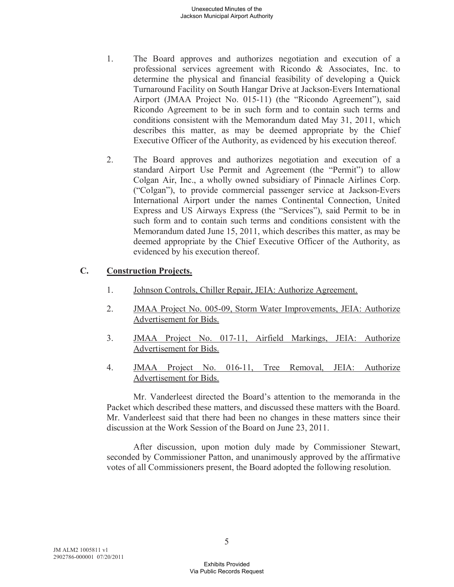- 1. The Board approves and authorizes negotiation and execution of a professional services agreement with Ricondo & Associates, Inc. to determine the physical and financial feasibility of developing a Quick Turnaround Facility on South Hangar Drive at Jackson-Evers International Airport (JMAA Project No. 015-11) (the "Ricondo Agreement"), said Ricondo Agreement to be in such form and to contain such terms and conditions consistent with the Memorandum dated May 31, 2011, which describes this matter, as may be deemed appropriate by the Chief Executive Officer of the Authority, as evidenced by his execution thereof.
- 2. The Board approves and authorizes negotiation and execution of a standard Airport Use Permit and Agreement (the "Permit") to allow Colgan Air, Inc., a wholly owned subsidiary of Pinnacle Airlines Corp. ("Colgan"), to provide commercial passenger service at Jackson-Evers International Airport under the names Continental Connection, United Express and US Airways Express (the "Services"), said Permit to be in such form and to contain such terms and conditions consistent with the Memorandum dated June 15, 2011, which describes this matter, as may be deemed appropriate by the Chief Executive Officer of the Authority, as evidenced by his execution thereof.

# **C. Construction Projects.**

- 1. Johnson Controls, Chiller Repair, JEIA: Authorize Agreement.
- 2. JMAA Project No. 005-09, Storm Water Improvements, JEIA: Authorize Advertisement for Bids.
- 3. JMAA Project No. 017-11, Airfield Markings, JEIA: Authorize Advertisement for Bids.
- 4. JMAA Project No. 016-11, Tree Removal, JEIA: Authorize Advertisement for Bids.

Mr. Vanderleest directed the Board's attention to the memoranda in the Packet which described these matters, and discussed these matters with the Board. Mr. Vanderleest said that there had been no changes in these matters since their discussion at the Work Session of the Board on June 23, 2011.

After discussion, upon motion duly made by Commissioner Stewart, seconded by Commissioner Patton, and unanimously approved by the affirmative votes of all Commissioners present, the Board adopted the following resolution.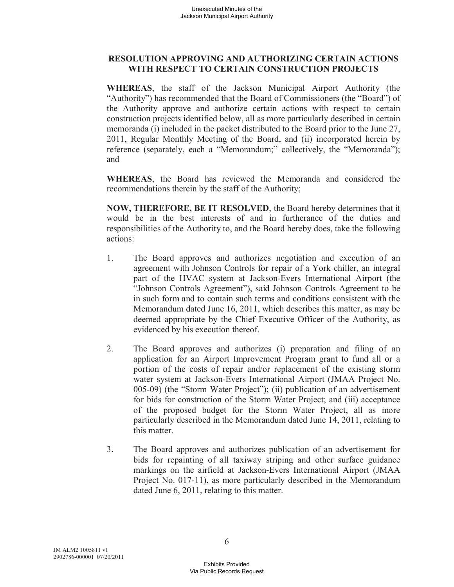# **RESOLUTION APPROVING AND AUTHORIZING CERTAIN ACTIONS WITH RESPECT TO CERTAIN CONSTRUCTION PROJECTS**

**WHEREAS**, the staff of the Jackson Municipal Airport Authority (the "Authority") has recommended that the Board of Commissioners (the "Board") of the Authority approve and authorize certain actions with respect to certain construction projects identified below, all as more particularly described in certain memoranda (i) included in the packet distributed to the Board prior to the June 27, 2011, Regular Monthly Meeting of the Board, and (ii) incorporated herein by reference (separately, each a "Memorandum;" collectively, the "Memoranda"); and

**WHEREAS**, the Board has reviewed the Memoranda and considered the recommendations therein by the staff of the Authority;

**NOW, THEREFORE, BE IT RESOLVED**, the Board hereby determines that it would be in the best interests of and in furtherance of the duties and responsibilities of the Authority to, and the Board hereby does, take the following actions:

- 1. The Board approves and authorizes negotiation and execution of an agreement with Johnson Controls for repair of a York chiller, an integral part of the HVAC system at Jackson-Evers International Airport (the "Johnson Controls Agreement"), said Johnson Controls Agreement to be in such form and to contain such terms and conditions consistent with the Memorandum dated June 16, 2011, which describes this matter, as may be deemed appropriate by the Chief Executive Officer of the Authority, as evidenced by his execution thereof.
- 2. The Board approves and authorizes (i) preparation and filing of an application for an Airport Improvement Program grant to fund all or a portion of the costs of repair and/or replacement of the existing storm water system at Jackson-Evers International Airport (JMAA Project No. 005-09) (the "Storm Water Project"); (ii) publication of an advertisement for bids for construction of the Storm Water Project; and (iii) acceptance of the proposed budget for the Storm Water Project, all as more particularly described in the Memorandum dated June 14, 2011, relating to this matter.
- 3. The Board approves and authorizes publication of an advertisement for bids for repainting of all taxiway striping and other surface guidance markings on the airfield at Jackson-Evers International Airport (JMAA Project No. 017-11), as more particularly described in the Memorandum dated June 6, 2011, relating to this matter.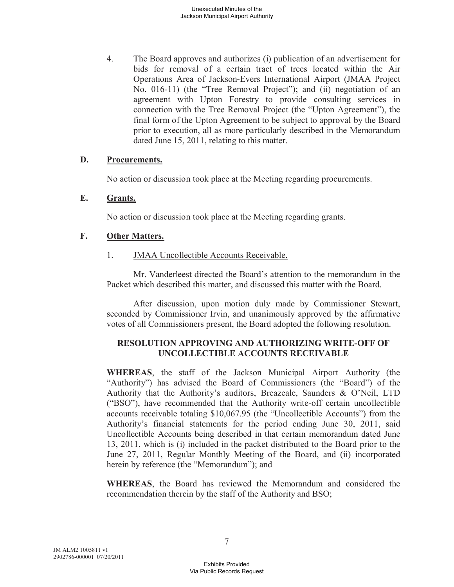4. The Board approves and authorizes (i) publication of an advertisement for bids for removal of a certain tract of trees located within the Air Operations Area of Jackson-Evers International Airport (JMAA Project No. 016-11) (the "Tree Removal Project"); and (ii) negotiation of an agreement with Upton Forestry to provide consulting services in connection with the Tree Removal Project (the "Upton Agreement"), the final form of the Upton Agreement to be subject to approval by the Board prior to execution, all as more particularly described in the Memorandum dated June 15, 2011, relating to this matter.

### **D. Procurements.**

No action or discussion took place at the Meeting regarding procurements.

#### **E. Grants.**

No action or discussion took place at the Meeting regarding grants.

#### **F. Other Matters.**

1. JMAA Uncollectible Accounts Receivable.

Mr. Vanderleest directed the Board's attention to the memorandum in the Packet which described this matter, and discussed this matter with the Board.

After discussion, upon motion duly made by Commissioner Stewart, seconded by Commissioner Irvin, and unanimously approved by the affirmative votes of all Commissioners present, the Board adopted the following resolution.

## **RESOLUTION APPROVING AND AUTHORIZING WRITE-OFF OF UNCOLLECTIBLE ACCOUNTS RECEIVABLE**

**WHEREAS**, the staff of the Jackson Municipal Airport Authority (the "Authority") has advised the Board of Commissioners (the "Board") of the Authority that the Authority's auditors, Breazeale, Saunders & O'Neil, LTD ("BSO"), have recommended that the Authority write-off certain uncollectible accounts receivable totaling \$10,067.95 (the "Uncollectible Accounts") from the Authority's financial statements for the period ending June 30, 2011, said Uncollectible Accounts being described in that certain memorandum dated June 13, 2011, which is (i) included in the packet distributed to the Board prior to the June 27, 2011, Regular Monthly Meeting of the Board, and (ii) incorporated herein by reference (the "Memorandum"); and

**WHEREAS**, the Board has reviewed the Memorandum and considered the recommendation therein by the staff of the Authority and BSO;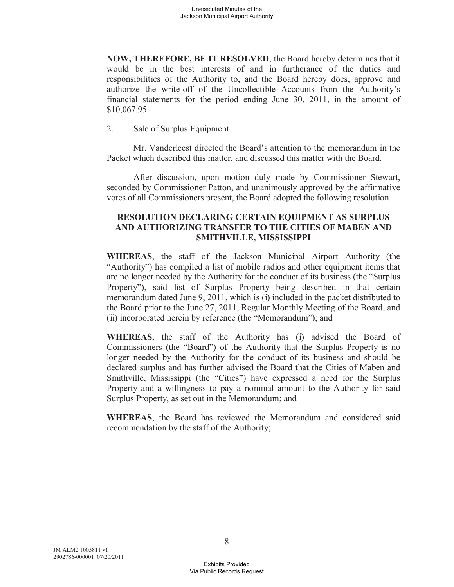**NOW, THEREFORE, BE IT RESOLVED**, the Board hereby determines that it would be in the best interests of and in furtherance of the duties and responsibilities of the Authority to, and the Board hereby does, approve and authorize the write-off of the Uncollectible Accounts from the Authority's financial statements for the period ending June 30, 2011, in the amount of \$10,067.95.

### 2. Sale of Surplus Equipment.

Mr. Vanderleest directed the Board's attention to the memorandum in the Packet which described this matter, and discussed this matter with the Board.

After discussion, upon motion duly made by Commissioner Stewart, seconded by Commissioner Patton, and unanimously approved by the affirmative votes of all Commissioners present, the Board adopted the following resolution.

## **RESOLUTION DECLARING CERTAIN EQUIPMENT AS SURPLUS AND AUTHORIZING TRANSFER TO THE CITIES OF MABEN AND SMITHVILLE, MISSISSIPPI**

**WHEREAS**, the staff of the Jackson Municipal Airport Authority (the "Authority") has compiled a list of mobile radios and other equipment items that are no longer needed by the Authority for the conduct of its business (the "Surplus Property"), said list of Surplus Property being described in that certain memorandum dated June 9, 2011, which is (i) included in the packet distributed to the Board prior to the June 27, 2011, Regular Monthly Meeting of the Board, and (ii) incorporated herein by reference (the "Memorandum"); and

**WHEREAS**, the staff of the Authority has (i) advised the Board of Commissioners (the "Board") of the Authority that the Surplus Property is no longer needed by the Authority for the conduct of its business and should be declared surplus and has further advised the Board that the Cities of Maben and Smithville, Mississippi (the "Cities") have expressed a need for the Surplus Property and a willingness to pay a nominal amount to the Authority for said Surplus Property, as set out in the Memorandum; and

**WHEREAS**, the Board has reviewed the Memorandum and considered said recommendation by the staff of the Authority;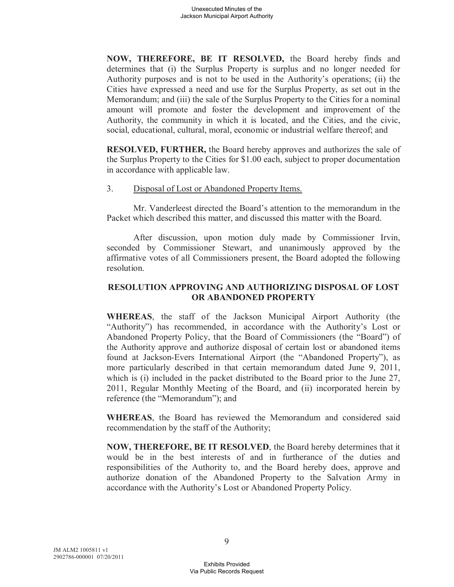**NOW, THEREFORE, BE IT RESOLVED,** the Board hereby finds and determines that (i) the Surplus Property is surplus and no longer needed for Authority purposes and is not to be used in the Authority's operations; (ii) the Cities have expressed a need and use for the Surplus Property, as set out in the Memorandum; and (iii) the sale of the Surplus Property to the Cities for a nominal amount will promote and foster the development and improvement of the Authority, the community in which it is located, and the Cities, and the civic, social, educational, cultural, moral, economic or industrial welfare thereof; and

**RESOLVED, FURTHER,** the Board hereby approves and authorizes the sale of the Surplus Property to the Cities for \$1.00 each, subject to proper documentation in accordance with applicable law.

### 3. Disposal of Lost or Abandoned Property Items.

Mr. Vanderleest directed the Board's attention to the memorandum in the Packet which described this matter, and discussed this matter with the Board.

After discussion, upon motion duly made by Commissioner Irvin, seconded by Commissioner Stewart, and unanimously approved by the affirmative votes of all Commissioners present, the Board adopted the following resolution.

### **RESOLUTION APPROVING AND AUTHORIZING DISPOSAL OF LOST OR ABANDONED PROPERTY**

**WHEREAS**, the staff of the Jackson Municipal Airport Authority (the "Authority") has recommended, in accordance with the Authority's Lost or Abandoned Property Policy, that the Board of Commissioners (the "Board") of the Authority approve and authorize disposal of certain lost or abandoned items found at Jackson-Evers International Airport (the "Abandoned Property"), as more particularly described in that certain memorandum dated June 9, 2011, which is (i) included in the packet distributed to the Board prior to the June 27, 2011, Regular Monthly Meeting of the Board, and (ii) incorporated herein by reference (the "Memorandum"); and

**WHEREAS**, the Board has reviewed the Memorandum and considered said recommendation by the staff of the Authority;

**NOW, THEREFORE, BE IT RESOLVED**, the Board hereby determines that it would be in the best interests of and in furtherance of the duties and responsibilities of the Authority to, and the Board hereby does, approve and authorize donation of the Abandoned Property to the Salvation Army in accordance with the Authority's Lost or Abandoned Property Policy.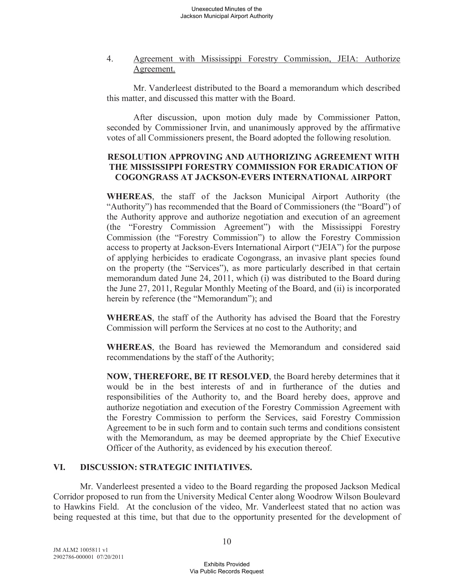4. Agreement with Mississippi Forestry Commission, JEIA: Authorize Agreement.

Mr. Vanderleest distributed to the Board a memorandum which described this matter, and discussed this matter with the Board.

After discussion, upon motion duly made by Commissioner Patton, seconded by Commissioner Irvin, and unanimously approved by the affirmative votes of all Commissioners present, the Board adopted the following resolution.

## **RESOLUTION APPROVING AND AUTHORIZING AGREEMENT WITH THE MISSISSIPPI FORESTRY COMMISSION FOR ERADICATION OF COGONGRASS AT JACKSON-EVERS INTERNATIONAL AIRPORT**

**WHEREAS**, the staff of the Jackson Municipal Airport Authority (the "Authority") has recommended that the Board of Commissioners (the "Board") of the Authority approve and authorize negotiation and execution of an agreement (the "Forestry Commission Agreement") with the Mississippi Forestry Commission (the "Forestry Commission") to allow the Forestry Commission access to property at Jackson-Evers International Airport ("JEIA") for the purpose of applying herbicides to eradicate Cogongrass, an invasive plant species found on the property (the "Services"), as more particularly described in that certain memorandum dated June 24, 2011, which (i) was distributed to the Board during the June 27, 2011, Regular Monthly Meeting of the Board, and (ii) is incorporated herein by reference (the "Memorandum"); and

**WHEREAS**, the staff of the Authority has advised the Board that the Forestry Commission will perform the Services at no cost to the Authority; and

**WHEREAS**, the Board has reviewed the Memorandum and considered said recommendations by the staff of the Authority;

**NOW, THEREFORE, BE IT RESOLVED**, the Board hereby determines that it would be in the best interests of and in furtherance of the duties and responsibilities of the Authority to, and the Board hereby does, approve and authorize negotiation and execution of the Forestry Commission Agreement with the Forestry Commission to perform the Services, said Forestry Commission Agreement to be in such form and to contain such terms and conditions consistent with the Memorandum, as may be deemed appropriate by the Chief Executive Officer of the Authority, as evidenced by his execution thereof.

# **VI. DISCUSSION: STRATEGIC INITIATIVES.**

Mr. Vanderleest presented a video to the Board regarding the proposed Jackson Medical Corridor proposed to run from the University Medical Center along Woodrow Wilson Boulevard to Hawkins Field. At the conclusion of the video, Mr. Vanderleest stated that no action was being requested at this time, but that due to the opportunity presented for the development of